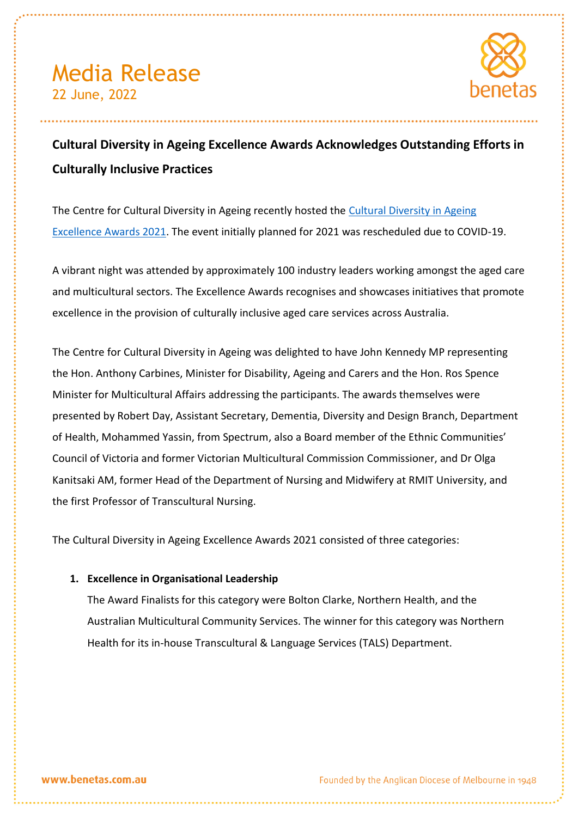

# **Cultural Diversity in Ageing Excellence Awards Acknowledges Outstanding Efforts in Culturally Inclusive Practices**

The Centre for [Cultural Diversity in Ageing](https://www.culturaldiversity.com.au/news-and-events/events/excellence-awards) recently hosted the Cultural Diversity in Ageing [Excellence Awards 2021.](https://www.culturaldiversity.com.au/news-and-events/events/excellence-awards) The event initially planned for 2021 was rescheduled due to COVID-19.

A vibrant night was attended by approximately 100 industry leaders working amongst the aged care and multicultural sectors. The Excellence Awards recognises and showcases initiatives that promote excellence in the provision of culturally inclusive aged care services across Australia.

The Centre for Cultural Diversity in Ageing was delighted to have John Kennedy MP representing the Hon. Anthony Carbines, Minister for Disability, Ageing and Carers and the Hon. Ros Spence Minister for Multicultural Affairs addressing the participants. The awards themselves were presented by Robert Day, Assistant Secretary, Dementia, Diversity and Design Branch, Department of Health, Mohammed Yassin, from Spectrum, also a Board member of the Ethnic Communities' Council of Victoria and former Victorian Multicultural Commission Commissioner, and Dr Olga Kanitsaki AM, former Head of the Department of Nursing and Midwifery at RMIT University, and the first Professor of Transcultural Nursing.

The Cultural Diversity in Ageing Excellence Awards 2021 consisted of three categories:

### **1. Excellence in Organisational Leadership**

The Award Finalists for this category were Bolton Clarke, Northern Health, and the Australian Multicultural Community Services. The winner for this category was Northern Health for its in-house Transcultural & Language Services (TALS) Department.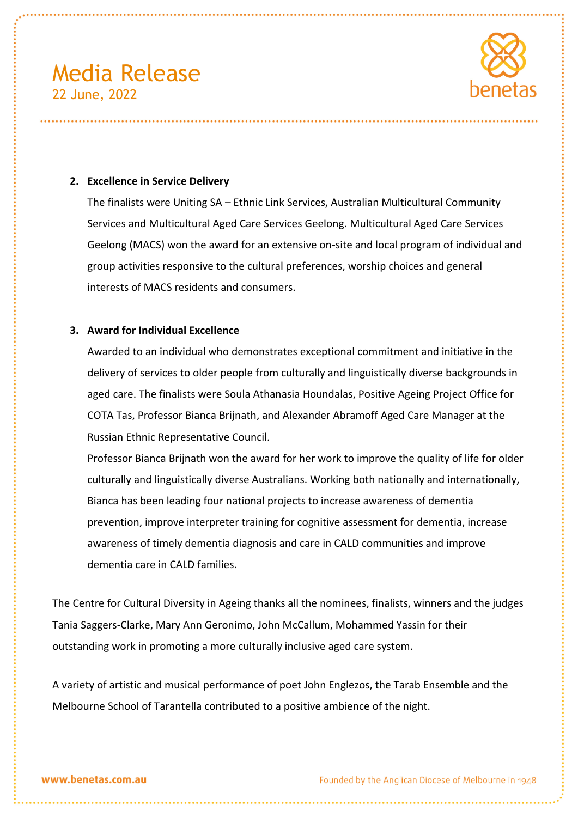

#### **2. Excellence in Service Delivery**

The finalists were Uniting SA – Ethnic Link Services, Australian Multicultural Community Services and Multicultural Aged Care Services Geelong. Multicultural Aged Care Services Geelong (MACS) won the award for an extensive on-site and local program of individual and group activities responsive to the cultural preferences, worship choices and general interests of MACS residents and consumers.

#### **3. Award for Individual Excellence**

Awarded to an individual who demonstrates exceptional commitment and initiative in the delivery of services to older people from culturally and linguistically diverse backgrounds in aged care. The finalists were Soula Athanasia Houndalas, Positive Ageing Project Office for COTA Tas, Professor Bianca Brijnath, and Alexander Abramoff Aged Care Manager at the Russian Ethnic Representative Council.

Professor Bianca Brijnath won the award for her work to improve the quality of life for older culturally and linguistically diverse Australians. Working both nationally and internationally, Bianca has been leading four national projects to increase awareness of dementia prevention, improve interpreter training for cognitive assessment for dementia, increase awareness of timely dementia diagnosis and care in CALD communities and improve dementia care in CALD families.

The Centre for Cultural Diversity in Ageing thanks all the nominees, finalists, winners and the judges Tania Saggers-Clarke, Mary Ann Geronimo, John McCallum, Mohammed Yassin for their outstanding work in promoting a more culturally inclusive aged care system.

A variety of artistic and musical performance of poet John Englezos, the Tarab Ensemble and the Melbourne School of Tarantella contributed to a positive ambience of the night.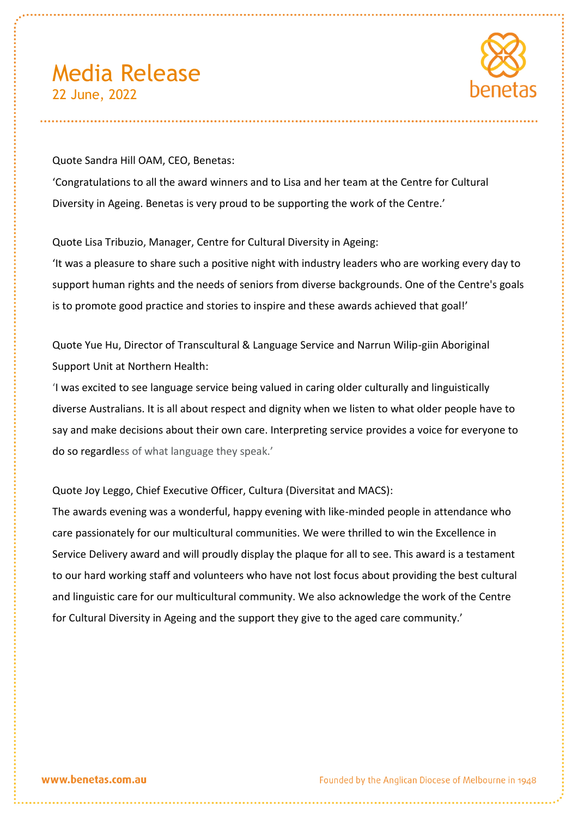

Quote Sandra Hill OAM, CEO, Benetas: 'Congratulations to all the award winners and to Lisa and her team at the Centre for Cultural Diversity in Ageing. Benetas is very proud to be supporting the work of the Centre.'

Quote Lisa Tribuzio, Manager, Centre for Cultural Diversity in Ageing:

'It was a pleasure to share such a positive night with industry leaders who are working every day to support human rights and the needs of seniors from diverse backgrounds. One of the Centre's goals is to promote good practice and stories to inspire and these awards achieved that goal!'

Quote Yue Hu, Director of Transcultural & Language Service and Narrun Wilip-giin Aboriginal Support Unit at Northern Health:

'I was excited to see language service being valued in caring older culturally and linguistically diverse Australians. It is all about respect and dignity when we listen to what older people have to say and make decisions about their own care. Interpreting service provides a voice for everyone to do so regardless of what language they speak.'

Quote Joy Leggo, Chief Executive Officer, Cultura (Diversitat and MACS):

The awards evening was a wonderful, happy evening with like-minded people in attendance who care passionately for our multicultural communities. We were thrilled to win the Excellence in Service Delivery award and will proudly display the plaque for all to see. This award is a testament to our hard working staff and volunteers who have not lost focus about providing the best cultural and linguistic care for our multicultural community. We also acknowledge the work of the Centre for Cultural Diversity in Ageing and the support they give to the aged care community.'